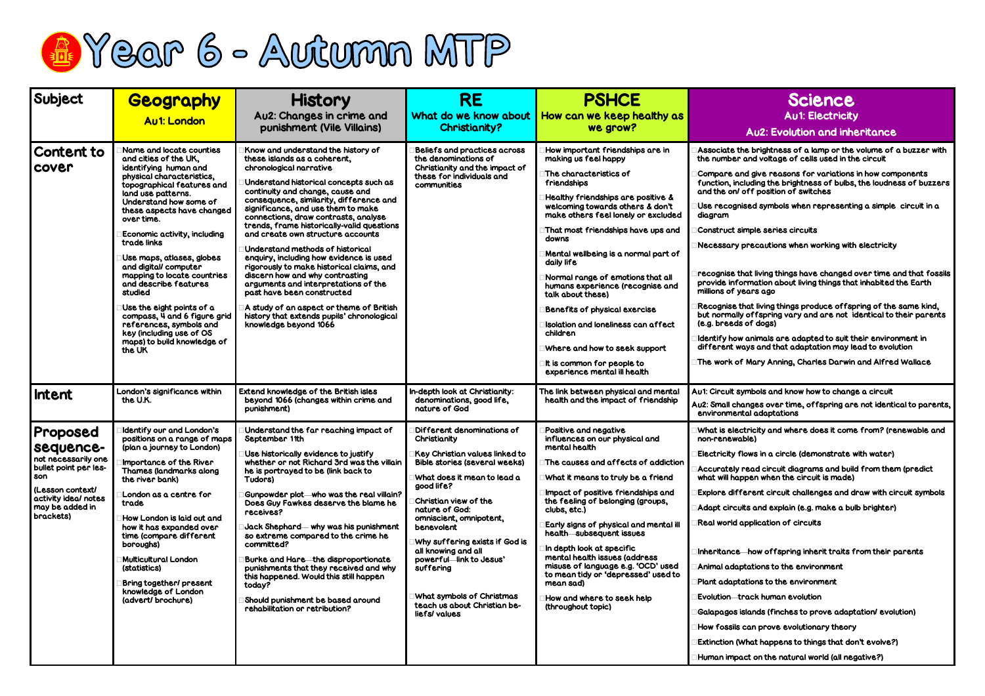## Science Au1: Electricity

## Au2: Evolution and inheritance

, brightness of a lamp or the volume of a buzzer with nd voltage of cells used in the circuit

I give reasons for variations in how components uding the brightness of bulbs, the loudness of buzzers ff position of switches

ed symbols when representing a simple circuit in a

nple series circuits

recautions when working with electricity

at living things have changed over time and that fossils mation about living things that inhabited the Earth ars ago

at living things produce offspring of the same kind, offspring vary and are not identical to their parents of dogs)

animals are adapted to suit their environment in ys and that adaptation may lead to evolution

Mary Anning, Charles Darwin and Alfred Wallace

nbols and know how to change a circuit

nges over time, offspring are not identical to parents, al adaptations

ricity and where does it come from? (renewable and le)

ws in a circle (demonstrate with water)

ead circuit diagrams and build from them (predict ven when the circuit is made)

rent circuit challenges and draw with circuit symbols

s and explain (e.g. make a bulb brighter)

polication of circuits

how offspring inherit traits from their parents

ations to the environment

ions to the environment

ack human evolution

ands (finches to prove adaptation/ evolution)

an prove evolutionary theory

hat happens to things that don't evolve?)

t on the natural world (all negative?)



| Subject                                                                                                                                                  | <b>Geography</b><br><b>Au1: London</b>                                                                                                                                                                                                                                                                                                                                                                                                                                                                                                                                | <b>History</b><br>Au2: Changes in crime and<br>punishment (Vile Villains)                                                                                                                                                                                                                                                                                                                                                                                                                                                                                                                                                                                                                                                                       | <b>RE</b><br>What do we know about<br><b>Christianity?</b>                                                                                                                                                                                                                                                                                                                                                                          | <b>PSHCE</b><br>How can we keep healthy as<br>we grow?                                                                                                                                                                                                                                                                                                                                                                                                                                                                                                                                                   |                                                                                                                                                                                                                                                                                                                     |
|----------------------------------------------------------------------------------------------------------------------------------------------------------|-----------------------------------------------------------------------------------------------------------------------------------------------------------------------------------------------------------------------------------------------------------------------------------------------------------------------------------------------------------------------------------------------------------------------------------------------------------------------------------------------------------------------------------------------------------------------|-------------------------------------------------------------------------------------------------------------------------------------------------------------------------------------------------------------------------------------------------------------------------------------------------------------------------------------------------------------------------------------------------------------------------------------------------------------------------------------------------------------------------------------------------------------------------------------------------------------------------------------------------------------------------------------------------------------------------------------------------|-------------------------------------------------------------------------------------------------------------------------------------------------------------------------------------------------------------------------------------------------------------------------------------------------------------------------------------------------------------------------------------------------------------------------------------|----------------------------------------------------------------------------------------------------------------------------------------------------------------------------------------------------------------------------------------------------------------------------------------------------------------------------------------------------------------------------------------------------------------------------------------------------------------------------------------------------------------------------------------------------------------------------------------------------------|---------------------------------------------------------------------------------------------------------------------------------------------------------------------------------------------------------------------------------------------------------------------------------------------------------------------|
| <b>Content to</b><br>cover                                                                                                                               | Name and locate counties<br>and cities of the UK,<br>identifying human and<br>physical characteristics,<br>topographical features and<br>land use patterns.<br>Understand how some of<br>these aspects have changed<br>over time.<br>Economic activity, including<br>trade links<br>Use maps, atlases, globes<br>and digital/computer<br>mapping to locate countries<br>and describe features<br>studied<br>Use the eight points of a<br>compass, 4 and 6 figure grid<br>references, symbols and<br>key (including use of OS<br>maps) to build knowledge of<br>the UK | Know and understand the history of<br>these islands as a coherent,<br>chronological narrative<br>Understand historical concepts such as<br>continuity and change, cause and<br>consequence, similarity, difference and<br>significance, and use them to make<br>connections, draw contrasts, analyse<br>trends, frame historically-valid questions<br>and create own structure accounts<br>Understand methods of historical<br>enquiry, including how evidence is used<br>rigorously to make historical claims, and<br>discern how and why contrasting<br>arguments and interpretations of the<br>past have been constructed<br>A study of an aspect or theme of British<br>history that extends pupils' chronological<br>knowledge beyond 1066 | Beliefs and practices across<br>the denominations of<br>Christianity and the impact of<br>these for individuals and<br>communities                                                                                                                                                                                                                                                                                                  | How important friendships are in<br>making us feel happy<br>The characteristics of<br>friendships<br>Healthy friendships are positive &<br>welcoming towards others & don't<br>make others feel lonely or excluded<br>That most friendships have ups and<br>downs<br>Mental wellbeing is a normal part of<br>daily life<br>Normal range of emotions that all<br>humans experience (recognise and<br>talk about these)<br>Benefits of physical exercise<br>Isolation and loneliness can affect<br>children<br>Where and how to seek support<br>It is common for people to<br>experience mental ill health | <b>Associate the</b><br>the number a<br>Compare and<br>function, inclu<br>and the on/ of<br>Use recognis<br>diagram<br>Construct sim<br>Necessary pr<br>recognise tho<br>provide infor<br>millions of yea<br>Recognise the<br>but normally of<br>(e.g. breeds c<br>Identify how o<br>different way<br>The work of I |
| Intent                                                                                                                                                   | London's significance within<br>the U.K.                                                                                                                                                                                                                                                                                                                                                                                                                                                                                                                              | Extend knowledge of the British isles<br>beyond 1066 (changes within crime and<br>punishment)                                                                                                                                                                                                                                                                                                                                                                                                                                                                                                                                                                                                                                                   | In-depth look at Christianity:<br>denominations, good life,<br>nature of God                                                                                                                                                                                                                                                                                                                                                        | The link between physical and mental<br>health and the impact of friendship                                                                                                                                                                                                                                                                                                                                                                                                                                                                                                                              | Au1: Circuit syn<br>Au2: Small char<br>environmento                                                                                                                                                                                                                                                                 |
| Proposed<br>sequence-<br>not necessarily one<br>bullet point per les-<br>son<br>(Lesson context/<br>activity ideal notes<br>may be added in<br>brackets) | Identify our and London's<br>positions on a range of maps<br>(plan a journey to London)<br>Importance of the River<br>Thames (landmarks along<br>the river bank)<br>London as a centre for<br>trade<br>How London is laid out and<br>how it has expanded over<br>time (compare different<br>boroughs)<br>Multicultural London<br>(statistics)<br>Bring together/present<br>knowledge of London<br>(advert/brochure)                                                                                                                                                   | Understand the far reaching impact of<br>September 1tth<br>Use historically evidence to justify<br>whether or not Richard 3rd was the villain<br>he is portrayed to be (link back to<br>Tudors)<br>Gunpowder plot—who was the real villain?<br>Does Guy Fawkes deserve the blame he<br>receives?<br>Jack Shephard— why was his punishment<br>so extreme compared to the crime he<br>committed?<br>Burke and Hare the disproportionate<br>punishments that they received and why<br>this happened. Would this still happen<br>today?<br>Should punishment be based around<br>rehabilitation or retribution?                                                                                                                                      | Different denominations of<br>Christianity<br>Key Christian values linked to<br><b>Bible stories (several weeks)</b><br>What does it mean to lead a<br>good life?<br>Christian view of the<br>nature of God:<br>omniscient, omnipotent,<br>benevolent<br>Why suffering exists if God is<br>all knowing and all<br>powerful-link to Jesus'<br>suffering<br>What symbols of Christmas<br>teach us about Christian be-<br>liefs/values | Positive and negative<br>influences on our physical and<br>mental health<br>The causes and affects of addiction<br>What it means to truly be a friend<br>Impact of positive friendships and<br>the feeling of belonging (groups,<br>clubs, etc.)<br>Early signs of physical and mental ill<br>health subsequent issues<br>In depth look at specific<br>mental health issues (address<br>misuse of language e.g. 'OCD' used<br>to mean tidy or 'depressed' used to<br>mean sad)<br>How and where to seek help<br>(throughout topic)                                                                       | What is elect<br>non-renewab<br><b>Electricity flo</b><br>Accurately re<br>what will happ<br><b>Explore diffe</b><br>Adapt circuits<br>Real world ap<br>Inheritance-<br>Animal adapt<br><b>Plant adaptat</b><br>Evolution-tro<br>Galapagos isle<br>How fossils co<br><b>Extinction (Wh</b><br>Human impac           |